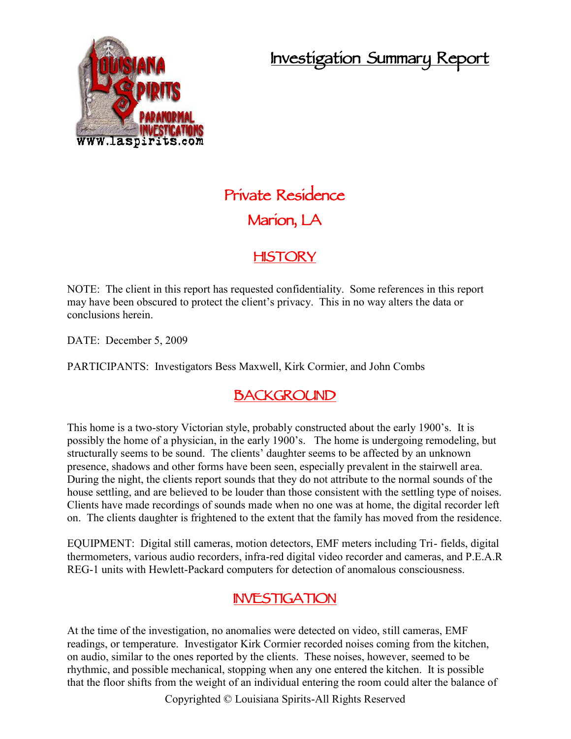## **Investigation Summary Report**



# **Private Residence Marion, LA**

## **HISTORY**

NOTE: The client in this report has requested confidentiality. Some references in this report may have been obscured to protect the client's privacy. This in no way alters the data or conclusions herein.

DATE: December 5, 2009

PARTICIPANTS: Investigators Bess Maxwell, Kirk Cormier, and John Combs

## **BACKGROUND**

This home is a two-story Victorian style, probably constructed about the early 1900's. It is possibly the home of a physician, in the early 1900's. The home is undergoing remodeling, but structurally seems to be sound. The clients' daughter seems to be affected by an unknown presence, shadows and other forms have been seen, especially prevalent in the stairwell area. During the night, the clients report sounds that they do not attribute to the normal sounds of the house settling, and are believed to be louder than those consistent with the settling type of noises. Clients have made recordings of sounds made when no one was at home, the digital recorder left on. The clients daughter is frightened to the extent that the family has moved from the residence.

EQUIPMENT: Digital still cameras, motion detectors, EMF meters including Tri- fields, digital thermometers, various audio recorders, infra-red digital video recorder and cameras, and P.E.A.R REG-1 units with Hewlett-Packard computers for detection of anomalous consciousness.

## **INVESTIGATION**

At the time of the investigation, no anomalies were detected on video, still cameras, EMF readings, or temperature. Investigator Kirk Cormier recorded noises coming from the kitchen, on audio, similar to the ones reported by the clients. These noises, however, seemed to be rhythmic, and possible mechanical, stopping when any one entered the kitchen. It is possible that the floor shifts from the weight of an individual entering the room could alter the balance of

Copyrighted © Louisiana Spirits-All Rights Reserved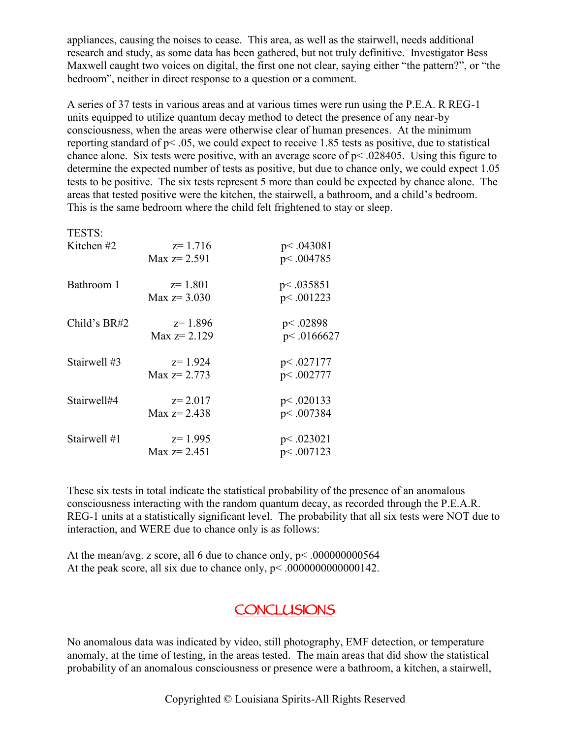appliances, causing the noises to cease. This area, as well as the stairwell, needs additional research and study, as some data has been gathered, but not truly definitive. Investigator Bess Maxwell caught two voices on digital, the first one not clear, saying either "the pattern?", or "the bedroom", neither in direct response to a question or a comment.

A series of 37 tests in various areas and at various times were run using the P.E.A. R REG-1 units equipped to utilize quantum decay method to detect the presence of any near-by consciousness, when the areas were otherwise clear of human presences. At the minimum reporting standard of p< .05, we could expect to receive 1.85 tests as positive, due to statistical chance alone. Six tests were positive, with an average score of  $p$  < .028405. Using this figure to determine the expected number of tests as positive, but due to chance only, we could expect 1.05 tests to be positive. The six tests represent 5 more than could be expected by chance alone. The areas that tested positive were the kitchen, the stairwell, a bathroom, and a child's bedroom. This is the same bedroom where the child felt frightened to stay or sleep.

| TESTS:         |                                |                          |
|----------------|--------------------------------|--------------------------|
| Kitchen $#2$   | $z=1.716$<br>Max $z = 2.591$   | p<.043081<br>p<.004785   |
| Bathroom 1     | $z=1.801$<br>Max $z = 3.030$   | p<.035851<br>p<.001223   |
| Child's $BR#2$ | $z=1.896$<br>Max $z = 2.129$   | p<.02898<br>p<.0166627   |
| Stairwell #3   | $z=1.924$<br>Max $z = 2.773$   | p<.027177<br>p<.002777   |
| Stairwell#4    | $z = 2.017$<br>Max $z = 2.438$ | p<.020133<br>p < .007384 |
| Stairwell #1   | $z=1.995$<br>Max $z = 2.451$   | p<.023021<br>p<.007123   |

These six tests in total indicate the statistical probability of the presence of an anomalous consciousness interacting with the random quantum decay, as recorded through the P.E.A.R. REG-1 units at a statistically significant level. The probability that all six tests were NOT due to interaction, and WERE due to chance only is as follows:

At the mean/avg. z score, all 6 due to chance only,  $p < .000000000564$ At the peak score, all six due to chance only,  $p < .0000000000000142$ .

#### **CONCLUSIONS**

No anomalous data was indicated by video, still photography, EMF detection, or temperature anomaly, at the time of testing, in the areas tested. The main areas that did show the statistical probability of an anomalous consciousness or presence were a bathroom, a kitchen, a stairwell,